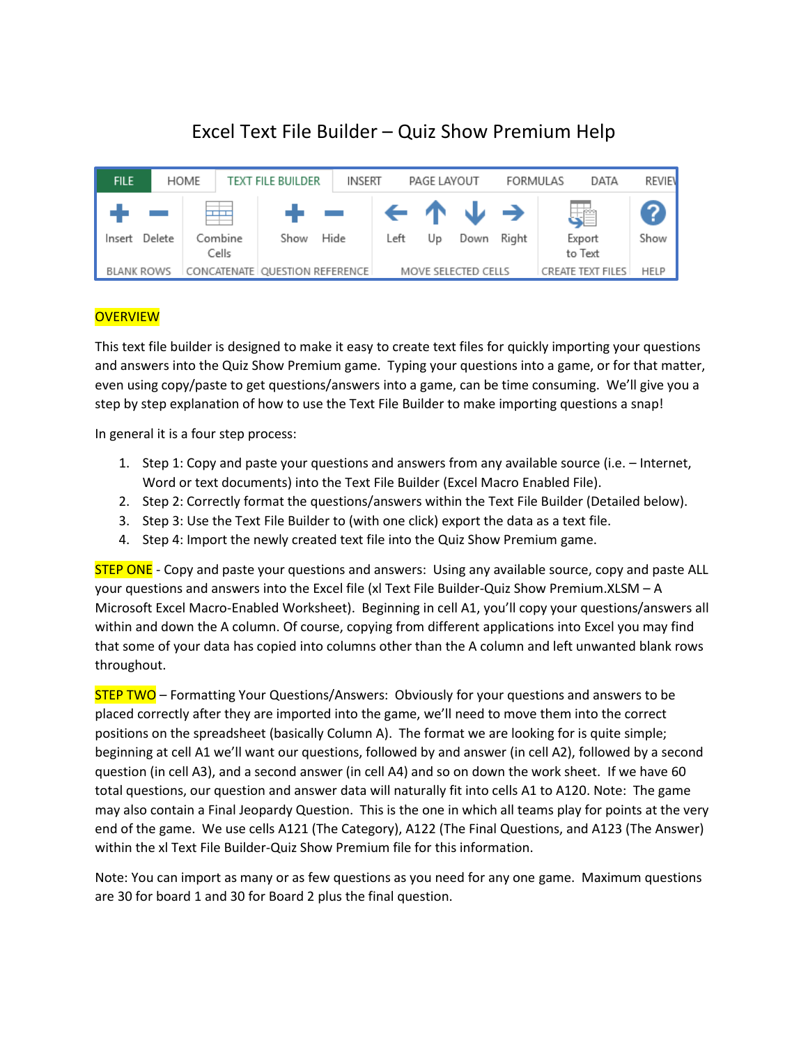# Excel Text File Builder – Quiz Show Premium Help

| <b>FILE</b> |            | HOME                             | TEXT FILE BUILDER | <b>INSERT</b> |                                                            | PAGE LAYOUT |                     | FORMULAS | DATA                     | <b>REVIEV</b> |
|-------------|------------|----------------------------------|-------------------|---------------|------------------------------------------------------------|-------------|---------------------|----------|--------------------------|---------------|
| Insert      | Delete     | Combine<br>Cells                 | Show              | Hide          | $\leftarrow$ $\uparrow$ $\downarrow$ $\rightarrow$<br>Left | Up          | Down                | Right    | 鸀<br>Export<br>to Text   | [?]<br>Show   |
|             | BLANK ROWS | CONCATENATE   QUESTION REFERENCE |                   |               |                                                            |             | MOVE SELECTED CELLS |          | <b>CREATE TEXT FILES</b> | HELP          |

# **OVERVIEW**

This text file builder is designed to make it easy to create text files for quickly importing your questions and answers into the Quiz Show Premium game. Typing your questions into a game, or for that matter, even using copy/paste to get questions/answers into a game, can be time consuming. We'll give you a step by step explanation of how to use the Text File Builder to make importing questions a snap!

In general it is a four step process:

- 1. Step 1: Copy and paste your questions and answers from any available source (i.e. Internet, Word or text documents) into the Text File Builder (Excel Macro Enabled File).
- 2. Step 2: Correctly format the questions/answers within the Text File Builder (Detailed below).
- 3. Step 3: Use the Text File Builder to (with one click) export the data as a text file.
- 4. Step 4: Import the newly created text file into the Quiz Show Premium game.

**STEP ONE** - Copy and paste your questions and answers: Using any available source, copy and paste ALL your questions and answers into the Excel file (xl Text File Builder-Quiz Show Premium.XLSM – A Microsoft Excel Macro-Enabled Worksheet). Beginning in cell A1, you'll copy your questions/answers all within and down the A column. Of course, copying from different applications into Excel you may find that some of your data has copied into columns other than the A column and left unwanted blank rows throughout.

**STEP TWO** – Formatting Your Questions/Answers: Obviously for your questions and answers to be placed correctly after they are imported into the game, we'll need to move them into the correct positions on the spreadsheet (basically Column A). The format we are looking for is quite simple; beginning at cell A1 we'll want our questions, followed by and answer (in cell A2), followed by a second question (in cell A3), and a second answer (in cell A4) and so on down the work sheet. If we have 60 total questions, our question and answer data will naturally fit into cells A1 to A120. Note: The game may also contain a Final Jeopardy Question. This is the one in which all teams play for points at the very end of the game. We use cells A121 (The Category), A122 (The Final Questions, and A123 (The Answer) within the xl Text File Builder-Quiz Show Premium file for this information.

Note: You can import as many or as few questions as you need for any one game. Maximum questions are 30 for board 1 and 30 for Board 2 plus the final question.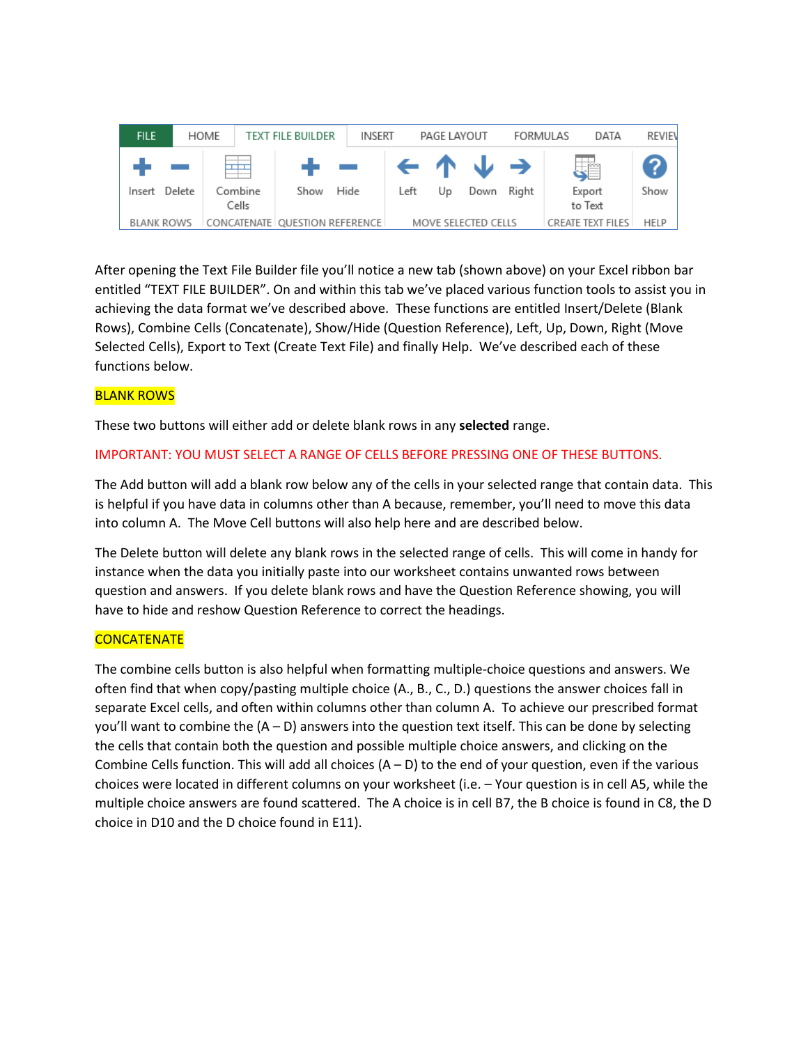| <b>FILE</b> |            | HOME                           | <b>TEXT FILE BUILDER</b> | INSERT |      | PAGE LAYOUT |                                                            | FORMULAS | DATA                     | REVIEN |
|-------------|------------|--------------------------------|--------------------------|--------|------|-------------|------------------------------------------------------------|----------|--------------------------|--------|
| Insert      | Delete     | سنسا<br>Combine<br>Cells       | - -<br>Show              | Hide   | Left | Up          | $\leftarrow$ $\uparrow$ $\downarrow$ $\rightarrow$<br>Down | Right    | 鸀<br>Export<br>to Text   | Show   |
|             | BLANK ROWS | CONCATENATE QUESTION REFERENCE |                          |        |      |             | MOVE SELECTED CELLS                                        |          | <b>CREATE TEXT FILES</b> | HELP   |

After opening the Text File Builder file you'll notice a new tab (shown above) on your Excel ribbon bar entitled "TEXT FILE BUILDER". On and within this tab we've placed various function tools to assist you in achieving the data format we've described above. These functions are entitled Insert/Delete (Blank Rows), Combine Cells (Concatenate), Show/Hide (Question Reference), Left, Up, Down, Right (Move Selected Cells), Export to Text (Create Text File) and finally Help. We've described each of these functions below.

# BLANK ROWS

These two buttons will either add or delete blank rows in any **selected** range.

## IMPORTANT: YOU MUST SELECT A RANGE OF CELLS BEFORE PRESSING ONE OF THESE BUTTONS.

The Add button will add a blank row below any of the cells in your selected range that contain data. This is helpful if you have data in columns other than A because, remember, you'll need to move this data into column A. The Move Cell buttons will also help here and are described below.

The Delete button will delete any blank rows in the selected range of cells. This will come in handy for instance when the data you initially paste into our worksheet contains unwanted rows between question and answers. If you delete blank rows and have the Question Reference showing, you will have to hide and reshow Question Reference to correct the headings.

## **CONCATENATE**

The combine cells button is also helpful when formatting multiple-choice questions and answers. We often find that when copy/pasting multiple choice (A., B., C., D.) questions the answer choices fall in separate Excel cells, and often within columns other than column A. To achieve our prescribed format you'll want to combine the  $(A - D)$  answers into the question text itself. This can be done by selecting the cells that contain both the question and possible multiple choice answers, and clicking on the Combine Cells function. This will add all choices  $(A - D)$  to the end of your question, even if the various choices were located in different columns on your worksheet (i.e. – Your question is in cell A5, while the multiple choice answers are found scattered. The A choice is in cell B7, the B choice is found in C8, the D choice in D10 and the D choice found in E11).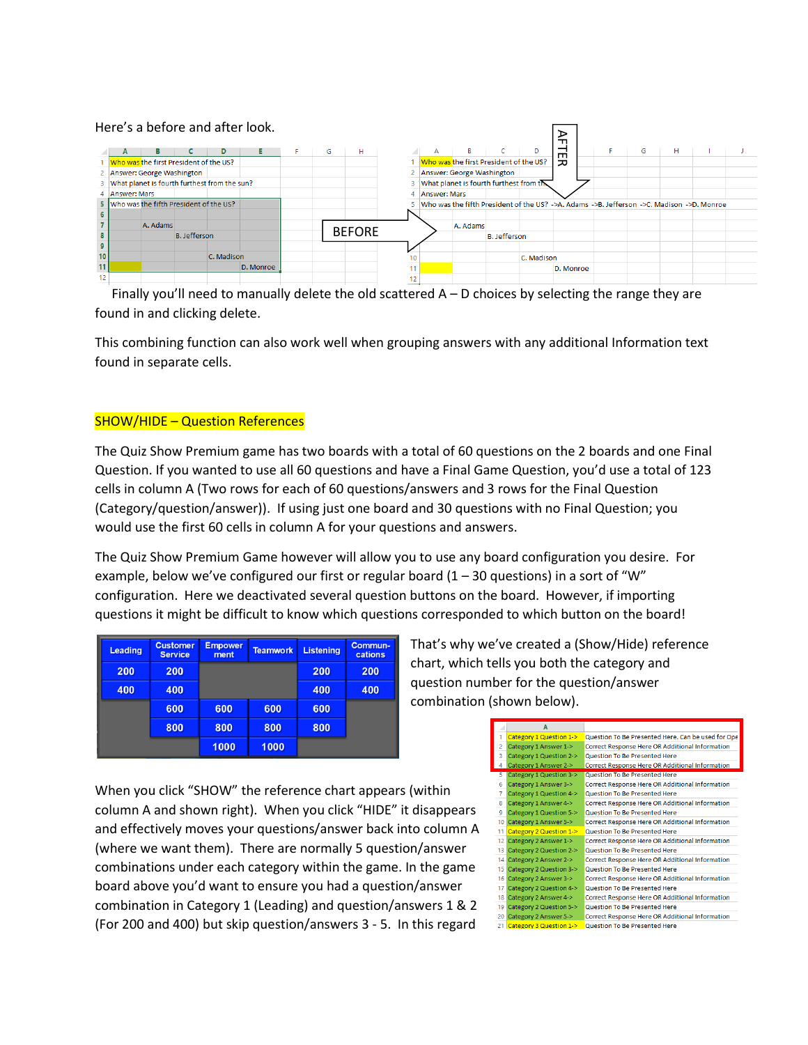|                  |                |          |                                                |            | Here's a before and after look. |   |               |    |                     |                                                                                           |                     |            | ᆩ              |  |   |   |  |
|------------------|----------------|----------|------------------------------------------------|------------|---------------------------------|---|---------------|----|---------------------|-------------------------------------------------------------------------------------------|---------------------|------------|----------------|--|---|---|--|
|                  |                | в        |                                                | D          | Е                               | G | н             |    | A                   | В                                                                                         |                     |            | $\blacksquare$ |  | G | н |  |
|                  |                |          | Who was the first President of the US?         |            |                                 |   |               |    |                     | Who was the first President of the US?                                                    |                     |            | 고              |  |   |   |  |
|                  |                |          | 2 Answer: George Washington                    |            |                                 |   |               |    |                     | 2 Answer: George Washington                                                               |                     |            |                |  |   |   |  |
|                  |                |          | 3 What planet is fourth furthest from the sun? |            |                                 |   |               |    |                     | What planet is fourth furthest from the                                                   |                     |            |                |  |   |   |  |
|                  | 4 Answer: Mars |          |                                                |            |                                 |   |               |    | <b>Answer: Mars</b> |                                                                                           |                     |            |                |  |   |   |  |
|                  |                |          | 5 Who was the fifth President of the US?       |            |                                 |   |               |    |                     | Who was the fifth President of the US? ->A. Adams ->B. Jefferson ->C. Madison ->D. Monroe |                     |            |                |  |   |   |  |
|                  |                |          |                                                |            |                                 |   |               |    |                     |                                                                                           |                     |            |                |  |   |   |  |
|                  |                | A. Adams |                                                |            |                                 |   |               |    |                     | A. Adams                                                                                  |                     |            |                |  |   |   |  |
|                  |                |          | <b>B.</b> Jefferson                            |            |                                 |   | <b>BEFORE</b> |    |                     |                                                                                           | <b>B.</b> Jefferson |            |                |  |   |   |  |
|                  |                |          |                                                |            |                                 |   |               |    |                     |                                                                                           |                     |            |                |  |   |   |  |
| 10 <sup>10</sup> |                |          |                                                | C. Madison |                                 |   |               |    |                     |                                                                                           |                     | C. Madison |                |  |   |   |  |
| 11               |                |          |                                                |            | D. Monroe                       |   |               |    |                     |                                                                                           |                     |            | D. Monroe      |  |   |   |  |
| 12               |                |          |                                                |            |                                 |   |               | 12 |                     |                                                                                           |                     |            |                |  |   |   |  |

Finally you'll need to manually delete the old scattered  $A - D$  choices by selecting the range they are found in and clicking delete.

This combining function can also work well when grouping answers with any additional Information text found in separate cells.

#### SHOW/HIDE – Question References

The Quiz Show Premium game has two boards with a total of 60 questions on the 2 boards and one Final Question. If you wanted to use all 60 questions and have a Final Game Question, you'd use a total of 123 cells in column A (Two rows for each of 60 questions/answers and 3 rows for the Final Question (Category/question/answer)). If using just one board and 30 questions with no Final Question; you would use the first 60 cells in column A for your questions and answers.

The Quiz Show Premium Game however will allow you to use any board configuration you desire. For example, below we've configured our first or regular board  $(1 - 30$  questions) in a sort of "W" configuration. Here we deactivated several question buttons on the board. However, if importing questions it might be difficult to know which questions corresponded to which button on the board!

| <b>Leading</b> | <b>Customer</b><br><b>Service</b> | <b>Empower</b><br>ment | <b>Teamwork</b> | <b>Listening</b> | Commun-<br>cations |
|----------------|-----------------------------------|------------------------|-----------------|------------------|--------------------|
| 200            | 200                               |                        |                 | 200              | 200                |
| 400            | 400                               |                        |                 | 400              | 400                |
|                | 600                               | 600                    | 600             | 600              |                    |
|                | 800                               | 800                    | 800             | 800              |                    |
|                |                                   | 1000                   | 1000            |                  |                    |

That's why we've created a (Show/Hide) reference chart, which tells you both the category and question number for the question/answer combination (shown below).

When you click "SHOW" the reference chart appears (within column A and shown right). When you click "HIDE" it disappears and effectively moves your questions/answer back into column A (where we want them). There are normally 5 question/answer combinations under each category within the game. In the game board above you'd want to ensure you had a question/answer combination in Category 1 (Leading) and question/answers 1 & 2 (For 200 and 400) but skip question/answers 3 - 5. In this regard

|                 | A                          |                                                        |
|-----------------|----------------------------|--------------------------------------------------------|
| 1               | Category 1 Question 1->    | Question To Be Presented Here. Can be used for Ope     |
| $\overline{2}$  | Category 1 Answer 1->      | Correct Response Here OR Additional Information        |
| 3               | Category 1 Question 2->    | Question To Be Presented Here                          |
| 4               | Category 1 Answer 2->      | <b>Correct Response Here OR Additional Information</b> |
| 5.              | Category 1 Question 3->    | Question To Be Presented Here                          |
| 6               | Category 1 Answer 3->      | Correct Response Here OR Additional Information        |
| 7               | Category 1 Question 4->    | Question To Be Presented Here                          |
| 8               | Category 1 Answer 4->      | Correct Response Here OR Additional Information        |
| 9               | Category 1 Question 5->    | Question To Be Presented Here                          |
| 10              | Category 1 Answer 5->      | Correct Response Here OR Additional Information        |
| 11              | Category 2 Question 1->    | Question To Be Presented Here                          |
| 12 <sup>1</sup> | Category 2 Answer 1->      | Correct Response Here OR Additional Information        |
| 13              | Category 2 Question 2->    | Question To Be Presented Here                          |
| 14              | Category 2 Answer 2->      | Correct Response Here OR Additional Information        |
| 15              | Category 2 Question 3->    | Question To Be Presented Here                          |
| 16              | Category 2 Answer 3->      | Correct Response Here OR Additional Information        |
| 17              | Category 2 Question 4->    | Question To Be Presented Here                          |
| 18              | Category 2 Answer 4->      | Correct Response Here OR Additional Information        |
| 19              | Category 2 Question 5->    | Question To Be Presented Here                          |
| 20              | Category 2 Answer 5->      | Correct Response Here OR Additional Information        |
|                 | 21 Category 3 Question 1-> | Question To Be Presented Here                          |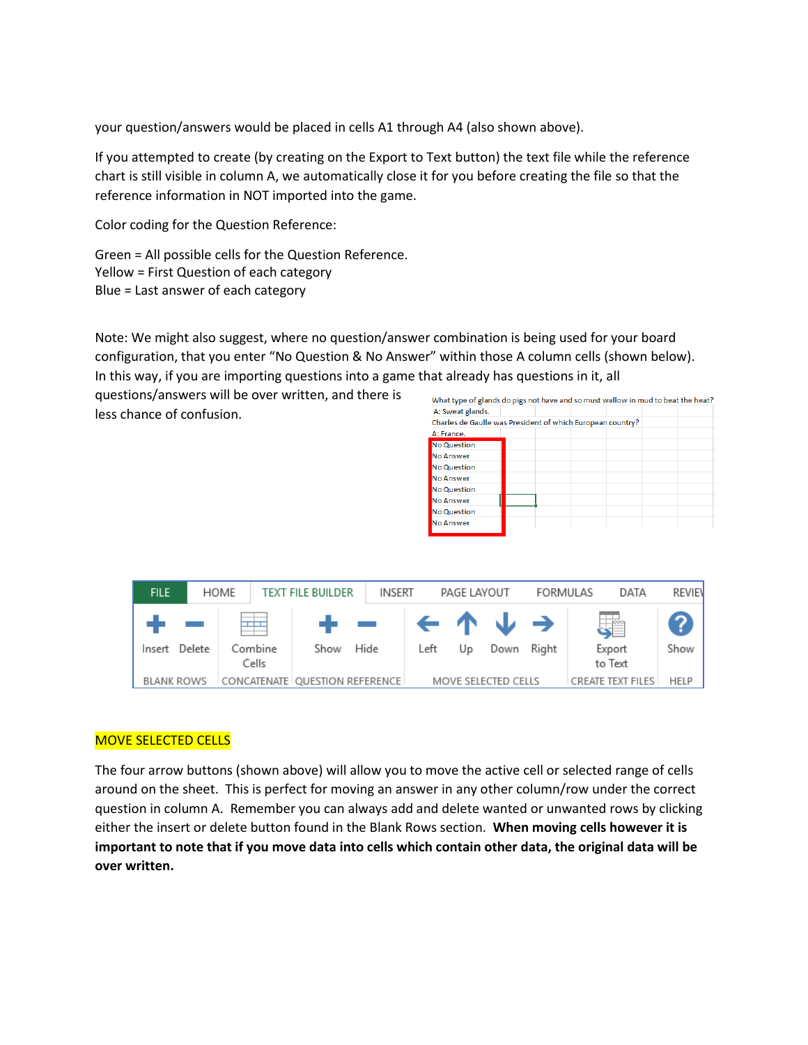your question/answers would be placed in cells A1 through A4 (also shown above).

If you attempted to create (by creating on the Export to Text button) the text file while the reference chart is still visible in column A, we automatically close it for you before creating the file so that the reference information in NOT imported into the game.

Color coding for the Question Reference:

Green = All possible cells for the Question Reference. Yellow = First Question of each category Blue = Last answer of each category

Note: We might also suggest, where no question/answer combination is being used for your board configuration, that you enter "No Question & No Answer" within those A column cells (shown below). In this way, if you are importing questions into a game that already has questions in it, all

questions/answers will be over written, and there is less chance of confusion.

| What type of glands do pigs not have and so must wallow in mud to beat the heat? |  |  |  |
|----------------------------------------------------------------------------------|--|--|--|
| A: Sweat glands.                                                                 |  |  |  |
| Charles de Gaulle was President of which European country?                       |  |  |  |
| A: France.                                                                       |  |  |  |
| <b>No Question</b>                                                               |  |  |  |
| No Answer                                                                        |  |  |  |
| <b>No Question</b>                                                               |  |  |  |
| No Answer                                                                        |  |  |  |
| <b>No Question</b>                                                               |  |  |  |
| No Answer                                                                        |  |  |  |
| <b>No Question</b>                                                               |  |  |  |
| No Answer                                                                        |  |  |  |
|                                                                                  |  |  |  |

| <b>FILE</b>       |        | HOME                                         | <b>TEXT FILE BUILDER</b> | INSERT |                                                             | PAGE LAYOUT |                     | FORMULAS | DATA                     | REVIEN |
|-------------------|--------|----------------------------------------------|--------------------------|--------|-------------------------------------------------------------|-------------|---------------------|----------|--------------------------|--------|
| Insert            | Delete | $\overline{\phantom{a}}$<br>Combine<br>Cells | de la c<br>Show          | Hide   | $\left  \leftarrow \wedge \cup \rightarrow \right $<br>Left | Up          | Down                | Right    | 建<br>Export<br>to Text   | Show   |
| <b>BLANK ROWS</b> |        | CONCATENATE   QUESTION REFERENCE             |                          |        |                                                             |             | MOVE SELECTED CELLS |          | <b>CREATE TEXT FILES</b> | HELP   |

## MOVE SELECTED CELLS

The four arrow buttons (shown above) will allow you to move the active cell or selected range of cells around on the sheet. This is perfect for moving an answer in any other column/row under the correct question in column A. Remember you can always add and delete wanted or unwanted rows by clicking either the insert or delete button found in the Blank Rows section. **When moving cells however it is important to note that if you move data into cells which contain other data, the original data will be over written.**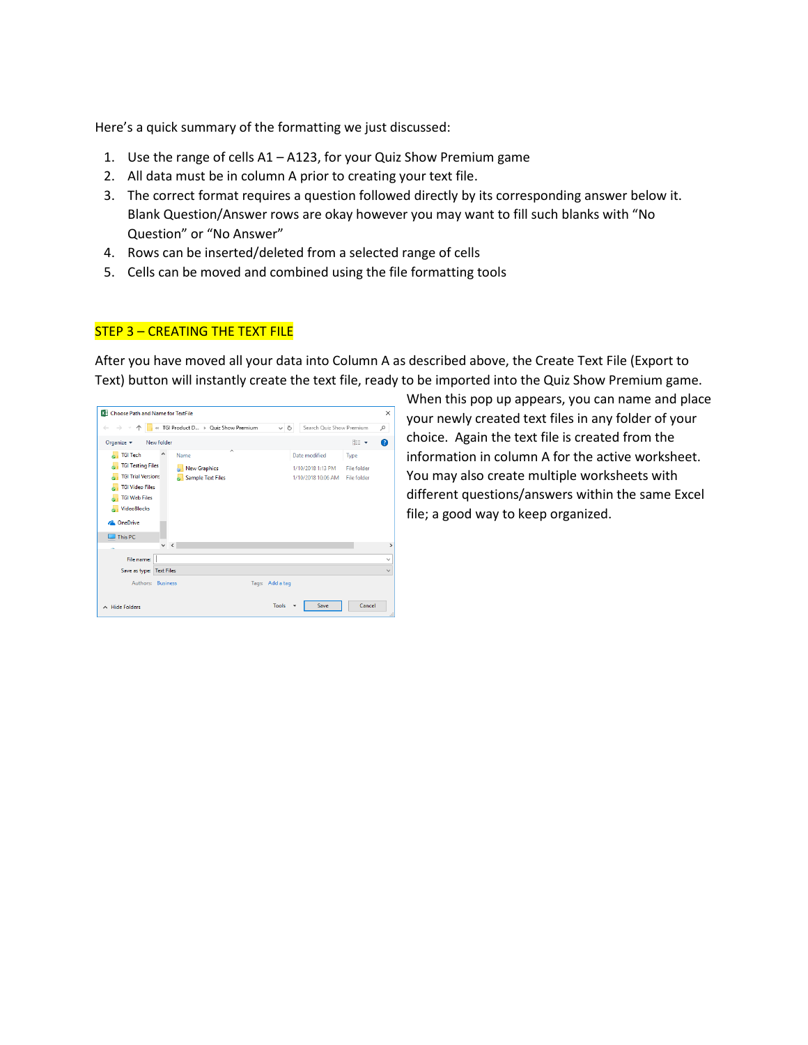Here's a quick summary of the formatting we just discussed:

- 1. Use the range of cells A1 A123, for your Quiz Show Premium game
- 2. All data must be in column A prior to creating your text file.
- 3. The correct format requires a question followed directly by its corresponding answer below it. Blank Question/Answer rows are okay however you may want to fill such blanks with "No Question" or "No Answer"
- 4. Rows can be inserted/deleted from a selected range of cells
- 5. Cells can be moved and combined using the file formatting tools

## STEP 3 – CREATING THE TEXT FILE

After you have moved all your data into Column A as described above, the Create Text File (Export to Text) button will instantly create the text file, ready to be imported into the Quiz Show Premium game.

| X Choose Path and Name for TextFile<br>« TGI Product D > Quiz Show Premium<br>Search Quiz Show Premium<br>$\leftarrow$ $\rightarrow$<br>个<br>৺ ু<br>م<br>⊞ ·<br>Organize v<br>New folder<br>◙<br>́<br><b>TGI Tech</b><br>Λ<br>Date modified<br>Name<br>Type<br><b>TGI Testing Files</b><br><b>New Graphics</b><br>1/10/2018 1:13 PM<br>File folder<br><b>TGI Trial Versions</b><br><b>Sample Text Files</b><br>1/10/2018 10:06 AM<br>File folder<br><b>TGI Video Files</b><br><b>TGI Web Files</b><br><b>N</b> VideoBlocks |               |
|----------------------------------------------------------------------------------------------------------------------------------------------------------------------------------------------------------------------------------------------------------------------------------------------------------------------------------------------------------------------------------------------------------------------------------------------------------------------------------------------------------------------------|---------------|
|                                                                                                                                                                                                                                                                                                                                                                                                                                                                                                                            | $\times$      |
|                                                                                                                                                                                                                                                                                                                                                                                                                                                                                                                            |               |
|                                                                                                                                                                                                                                                                                                                                                                                                                                                                                                                            |               |
|                                                                                                                                                                                                                                                                                                                                                                                                                                                                                                                            |               |
|                                                                                                                                                                                                                                                                                                                                                                                                                                                                                                                            |               |
|                                                                                                                                                                                                                                                                                                                                                                                                                                                                                                                            |               |
|                                                                                                                                                                                                                                                                                                                                                                                                                                                                                                                            |               |
|                                                                                                                                                                                                                                                                                                                                                                                                                                                                                                                            |               |
|                                                                                                                                                                                                                                                                                                                                                                                                                                                                                                                            |               |
| <b>Co.</b> OneDrive                                                                                                                                                                                                                                                                                                                                                                                                                                                                                                        |               |
| This PC                                                                                                                                                                                                                                                                                                                                                                                                                                                                                                                    |               |
| v<br>$\prec$                                                                                                                                                                                                                                                                                                                                                                                                                                                                                                               | $\rightarrow$ |
| File name:                                                                                                                                                                                                                                                                                                                                                                                                                                                                                                                 | $\checkmark$  |
| Save as type: Text Files                                                                                                                                                                                                                                                                                                                                                                                                                                                                                                   | $\checkmark$  |
| Authors: Business<br>Tags: Add a tag                                                                                                                                                                                                                                                                                                                                                                                                                                                                                       |               |
| Cancel<br><b>Tools</b><br>Save<br>$\land$ Hide Folders                                                                                                                                                                                                                                                                                                                                                                                                                                                                     | ú.            |

When this pop up appears, you can name and place your newly created text files in any folder of your choice. Again the text file is created from the information in column A for the active worksheet. You may also create multiple worksheets with different questions/answers within the same Excel file; a good way to keep organized.